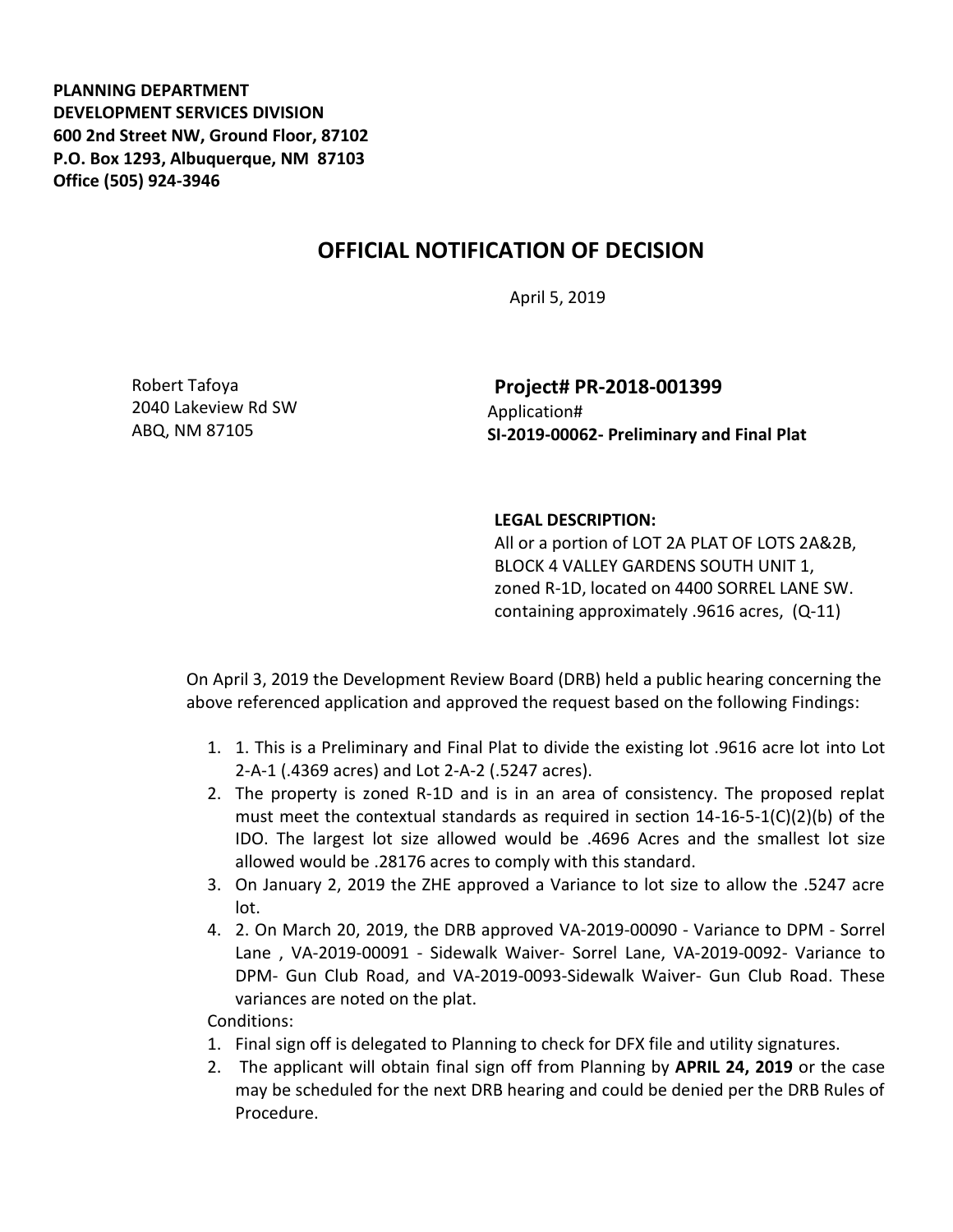**PLANNING DEPARTMENT DEVELOPMENT SERVICES DIVISION 600 2nd Street NW, Ground Floor, 87102 P.O. Box 1293, Albuquerque, NM 87103 Office (505) 924-3946** 

## **OFFICIAL NOTIFICATION OF DECISION**

April 5, 2019

Robert Tafoya 2040 Lakeview Rd SW ABQ, NM 87105

**Project# PR-2018-001399** Application# **SI-2019-00062- Preliminary and Final Plat**

## **LEGAL DESCRIPTION:**

All or a portion of LOT 2A PLAT OF LOTS 2A&2B, BLOCK 4 VALLEY GARDENS SOUTH UNIT 1, zoned R-1D, located on 4400 SORREL LANE SW. containing approximately .9616 acres, (Q-11)

On April 3, 2019 the Development Review Board (DRB) held a public hearing concerning the above referenced application and approved the request based on the following Findings:

- 1. 1. This is a Preliminary and Final Plat to divide the existing lot .9616 acre lot into Lot 2-A-1 (.4369 acres) and Lot 2-A-2 (.5247 acres).
- 2. The property is zoned R-1D and is in an area of consistency. The proposed replat must meet the contextual standards as required in section  $14-16-5-1(C)(2)(b)$  of the IDO. The largest lot size allowed would be .4696 Acres and the smallest lot size allowed would be .28176 acres to comply with this standard.
- 3. On January 2, 2019 the ZHE approved a Variance to lot size to allow the .5247 acre lot.
- 4. 2. On March 20, 2019, the DRB approved VA-2019-00090 Variance to DPM Sorrel Lane , VA-2019-00091 - Sidewalk Waiver- Sorrel Lane, VA-2019-0092- Variance to DPM- Gun Club Road, and VA-2019-0093-Sidewalk Waiver- Gun Club Road. These variances are noted on the plat.

Conditions:

- 1. Final sign off is delegated to Planning to check for DFX file and utility signatures.
- 2. The applicant will obtain final sign off from Planning by **APRIL 24, 2019** or the case may be scheduled for the next DRB hearing and could be denied per the DRB Rules of Procedure.